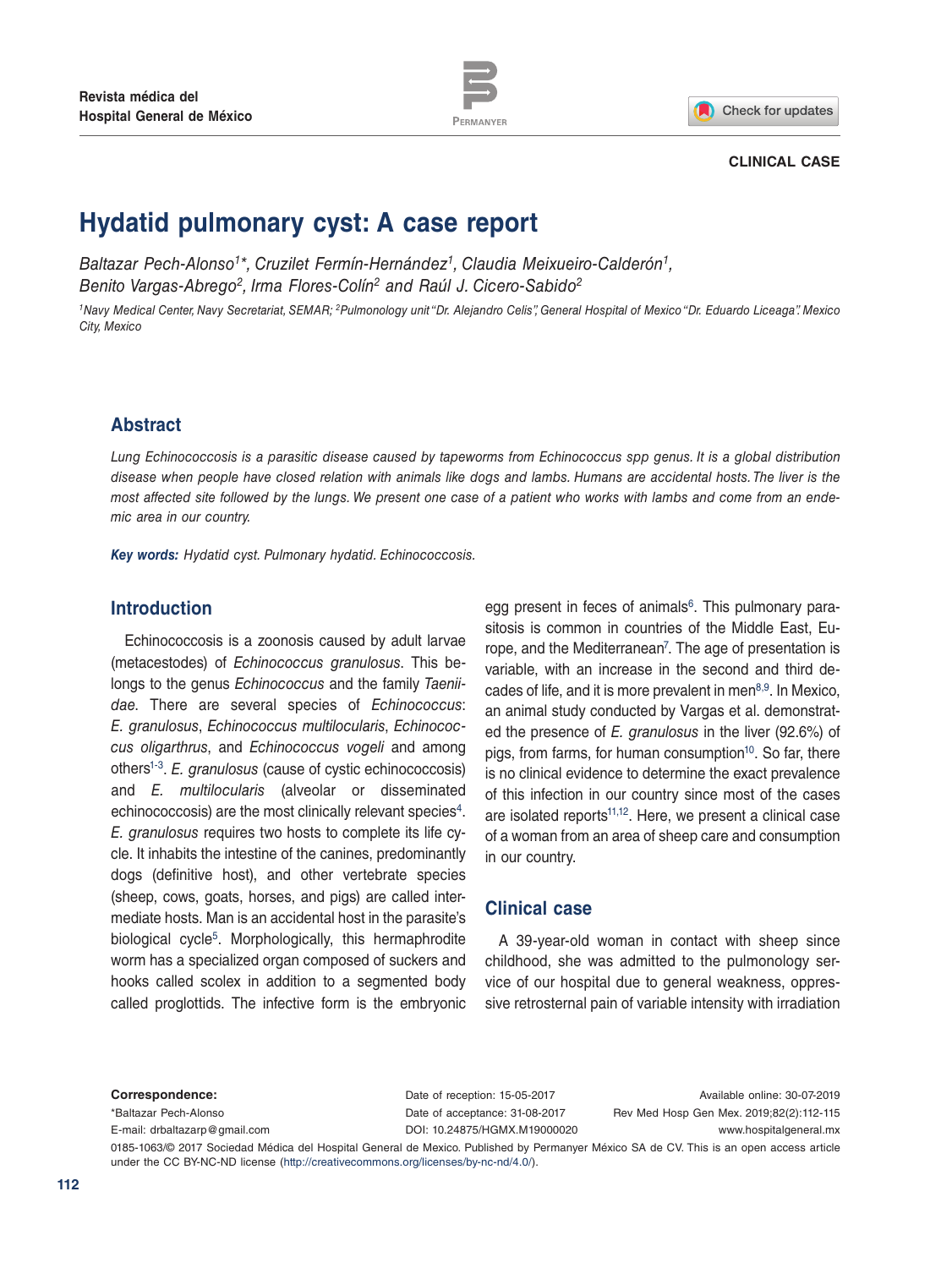



### **CLINICAL CASE**

# **Hydatid pulmonary cyst: A case report**

*Baltazar Pech-Alonso1\*, Cruzilet Fermín-Hernández1, Claudia Meixueiro-Calderón1, Benito Vargas-Abrego2, Irma Flores-Colín2 and Raúl J. Cicero-Sabido2*

*1Navy Medical Center, Navy Secretariat, SEMAR; 2Pulmonology unit "Dr. Alejandro Celis", General Hospital of Mexico "Dr. Eduardo Liceaga". Mexico City, Mexico*

## **Abstract**

*Lung Echinococcosis is a parasitic disease caused by tapeworms from Echinococcus spp genus. It is a global distribution disease when people have closed relation with animals like dogs and lambs. Humans are accidental hosts. The liver is the most affected site followed by the lungs. We present one case of a patient who works with lambs and come from an endemic area in our country.* 

*Key words: Hydatid cyst. Pulmonary hydatid. Echinococcosis.*

## **Introduction**

Echinococcosis is a zoonosis caused by adult larvae (metacestodes) of *Echinococcus granulosus*. This belongs to the genus *Echinococcus* and the family *Taeniidae*. There are several species of *Echinococcus*: *E. granulosus*, *Echinococcus multilocularis*, *Echinococcus oligarthrus*, and *Echinococcus vogeli* and among other[s1-](#page-3-0)[3](#page-3-1). *E. granulosus* (cause of cystic echinococcosis) and *E. multilocularis* (alveolar or disseminated echinococcosis) are the most clinically relevant species<sup>[4](#page-3-2)</sup>. *E. granulosus* requires two hosts to complete its life cycle. It inhabits the intestine of the canines, predominantly dogs (definitive host), and other vertebrate species (sheep, cows, goats, horses, and pigs) are called intermediate hosts. Man is an accidental host in the parasite's biological cycle<sup>[5](#page-3-3)</sup>. Morphologically, this hermaphrodite worm has a specialized organ composed of suckers and hooks called scolex in addition to a segmented body called proglottids. The infective form is the embryonic egg present in feces of animals $6$ . This pulmonary parasitosis is common in countries of the Middle East, Europe, and the Mediterranean<sup>7</sup>. The age of presentation is variable, with an increase in the second and third decades of life, and it is more prevalent in men $8,9$  $8,9$ . In Mexico, an animal study conducted by Vargas et al. demonstrated the presence of *E. granulosus* in the liver (92.6%) of pigs, from farms, for human consumption<sup>10</sup>. So far, there is no clinical evidence to determine the exact prevalence of this infection in our country since most of the cases are isolated reports<sup>11[,12](#page-3-10)</sup>. Here, we present a clinical case of a woman from an area of sheep care and consumption in our country.

### **Clinical case**

A 39-year-old woman in contact with sheep since childhood, she was admitted to the pulmonology service of our hospital due to general weakness, oppressive retrosternal pain of variable intensity with irradiation

#### **Correspondence:**

\*Baltazar Pech-Alonso E-mail: [drbaltazarp@gmail.com](mailto:drbaltazarp%40gmail.com?subject=) Date of reception: 15-05-2017 Date of acceptance: 31-08-2017 DOI: [10.24875/HGMX.M19000020](http://dx.doi.org/10.24875/HGMX.M19000020)

Available online: 30-07-2019 Rev Med Hosp Gen Mex. 2019;82(2):112-115 www.hospitalgeneral.mx

0185-1063/© 2017 Sociedad Médica del Hospital General de Mexico. Published by Permanyer México SA de CV. This is an open access article under the CC BY-NC-ND license (http://creativecommons.org/licenses/by-nc-nd/4.0/).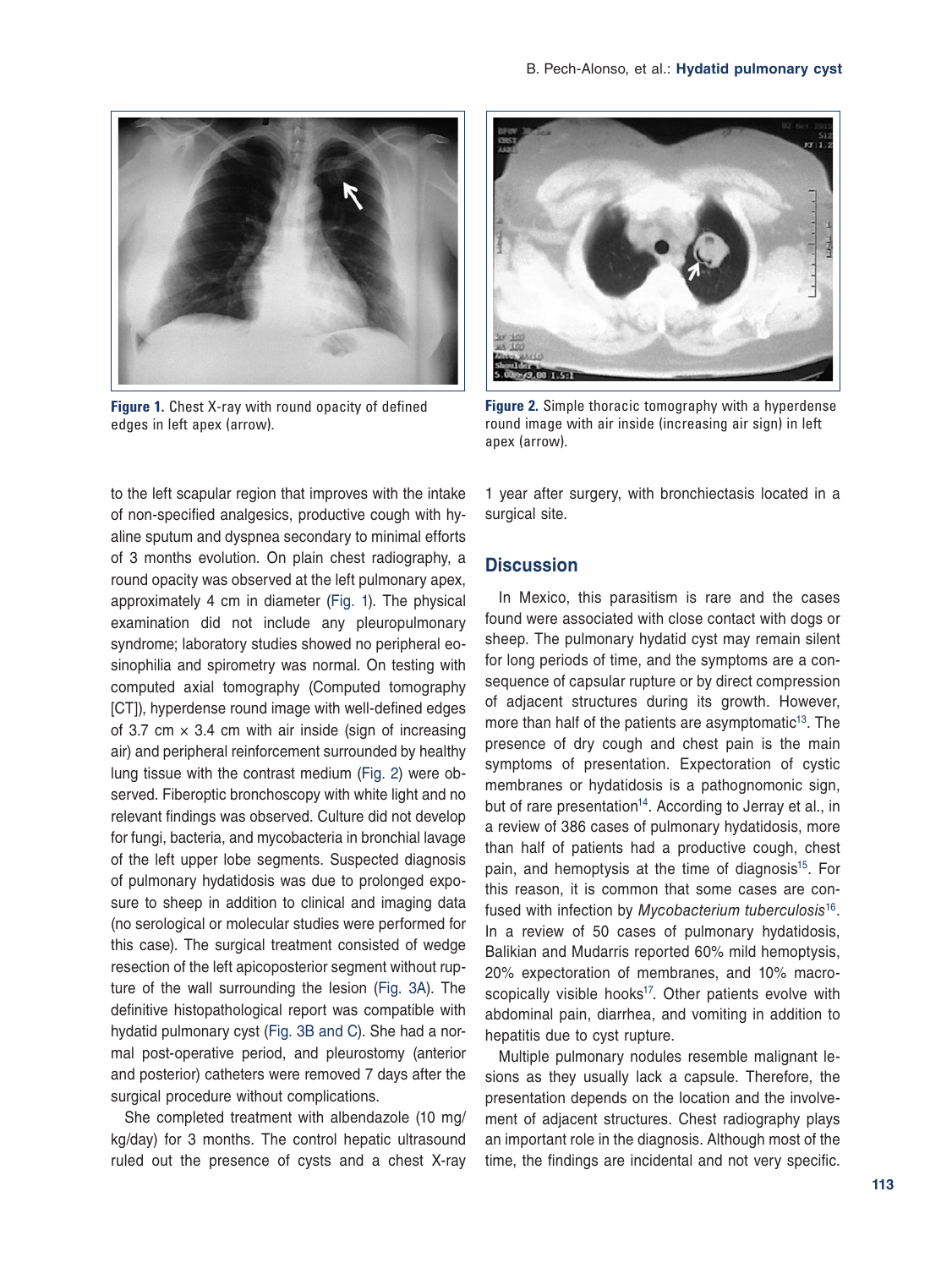

**[Figure 1.](#page-1-0)** Chest X-ray with round opacity of defined edges in left apex (arrow).



**[Figure 2](#page-1-1).** Simple thoracic tomography with a hyperdense round image with air inside (increasing air sign) in left apex (arrow).

<span id="page-1-0"></span>to the left scapular region that improves with the intake of non-specified analgesics, productive cough with hyaline sputum and dyspnea secondary to minimal efforts of 3 months evolution. On plain chest radiography, a round opacity was observed at the left pulmonary apex, approximately 4 cm in diameter (Fig. 1). The physical examination did not include any pleuropulmonary syndrome; laboratory studies showed no peripheral eosinophilia and spirometry was normal. On testing with computed axial tomography (Computed tomography [CT]), hyperdense round image with well-defined edges of 3.7 cm  $\times$  3.4 cm with air inside (sign of increasing air) and peripheral reinforcement surrounded by healthy lung tissue with the contrast medium (Fig. 2) were observed. Fiberoptic bronchoscopy with white light and no relevant findings was observed. Culture did not develop for fungi, bacteria, and mycobacteria in bronchial lavage of the left upper lobe segments. Suspected diagnosis of pulmonary hydatidosis was due to prolonged exposure to sheep in addition to clinical and imaging data (no serological or molecular studies were performed for this case). The surgical treatment consisted of wedge resection of the left apicoposterior segment without rupture of the wall surrounding the lesion ([Fig. 3A\)](#page-2-0). The definitive histopathological report was compatible with hydatid pulmonary cyst [\(Fig. 3B and C\)](#page-2-0). She had a normal post-operative period, and pleurostomy (anterior and posterior) catheters were removed 7 days after the surgical procedure without complications.

She completed treatment with albendazole (10 mg/ kg/day) for 3 months. The control hepatic ultrasound ruled out the presence of cysts and a chest X-ray

<span id="page-1-1"></span>1 year after surgery, with bronchiectasis located in a surgical site.

## **Discussion**

In Mexico, this parasitism is rare and the cases found were associated with close contact with dogs or sheep. The pulmonary hydatid cyst may remain silent for long periods of time, and the symptoms are a consequence of capsular rupture or by direct compression of adjacent structures during its growth. However, more than half of the patients are asymptomatic<sup>13</sup>. The presence of dry cough and chest pain is the main symptoms of presentation. Expectoration of cystic membranes or hydatidosis is a pathognomonic sign, but of rare presentation<sup>14</sup>. According to Jerray et al., in a review of 386 cases of pulmonary hydatidosis, more than half of patients had a productive cough, chest pain, and hemoptysis at the time of diagnosis<sup>15</sup>. For this reason, it is common that some cases are confused with infection by *Mycobacterium tuberculosis*[16](#page-3-14). In a review of 50 cases of pulmonary hydatidosis, Balikian and Mudarris reported 60% mild hemoptysis, 20% expectoration of membranes, and 10% macro-scopically visible hooks<sup>[17](#page-3-15)</sup>. Other patients evolve with abdominal pain, diarrhea, and vomiting in addition to hepatitis due to cyst rupture.

Multiple pulmonary nodules resemble malignant lesions as they usually lack a capsule. Therefore, the presentation depends on the location and the involvement of adjacent structures. Chest radiography plays an important role in the diagnosis. Although most of the time, the findings are incidental and not very specific.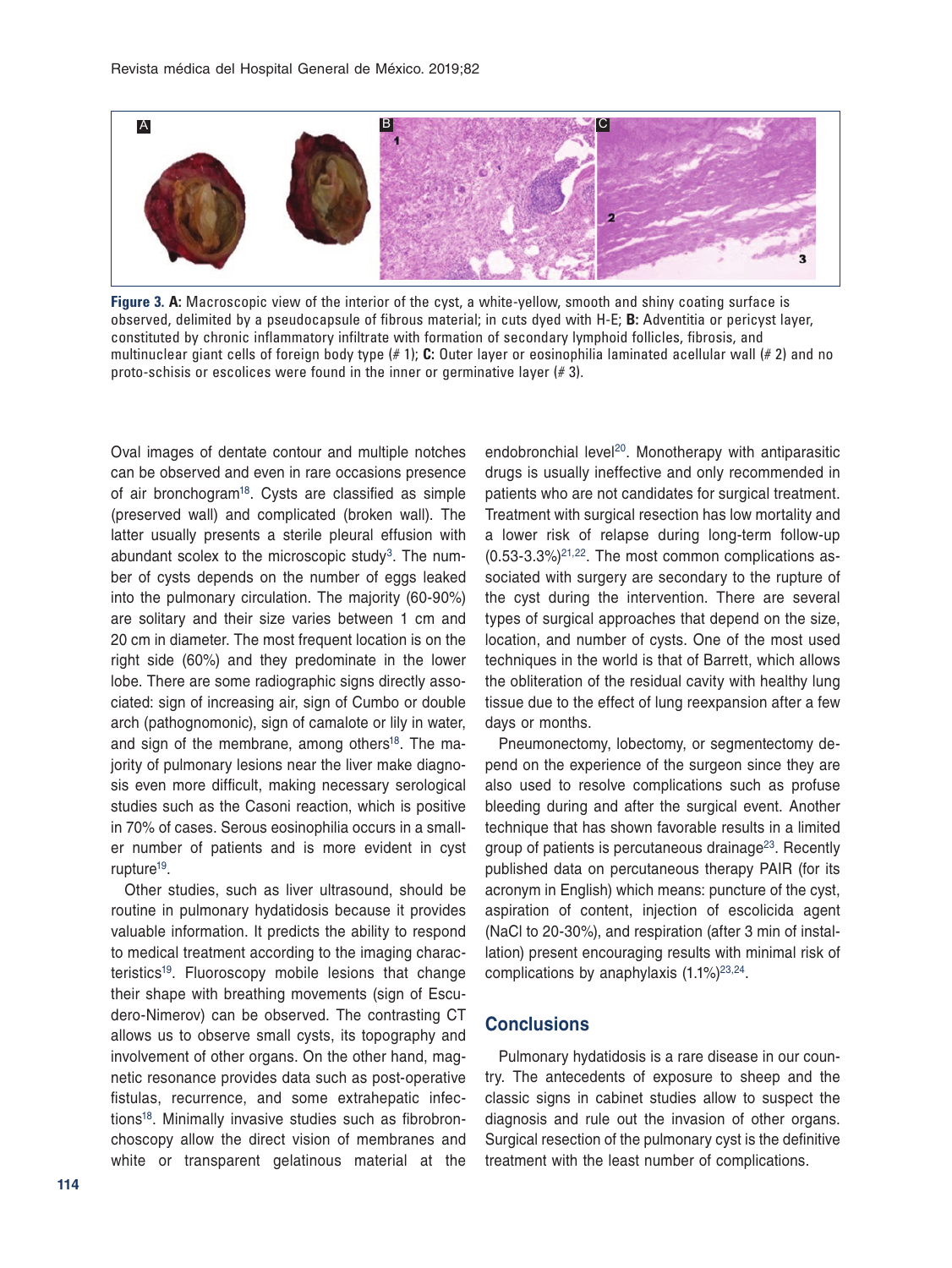<span id="page-2-0"></span>

<span id="page-2-1"></span>**[Figure 3.](#page-2-1) A:** Macroscopic view of the interior of the cyst, a white-yellow, smooth and shiny coating surface is observed, delimited by a pseudocapsule of fibrous material; in cuts dyed with H-E; **B:** Adventitia or pericyst layer, constituted by chronic inflammatory infiltrate with formation of secondary lymphoid follicles, fibrosis, and multinuclear giant cells of foreign body type (# 1); **C:** Outer layer or eosinophilia laminated acellular wall (# 2) and no proto-schisis or escolices were found in the inner or germinative layer  $(\# 3)$ .

Oval images of dentate contour and multiple notches can be observed and even in rare occasions presence of air bronchogram<sup>18</sup>. Cysts are classified as simple (preserved wall) and complicated (broken wall). The latter usually presents a sterile pleural effusion with abundant scolex to the microscopic study $3$ . The number of cysts depends on the number of eggs leaked into the pulmonary circulation. The majority (60-90%) are solitary and their size varies between 1 cm and 20 cm in diameter. The most frequent location is on the right side (60%) and they predominate in the lower lobe. There are some radiographic signs directly associated: sign of increasing air, sign of Cumbo or double arch (pathognomonic), sign of camalote or lily in water, and sign of the membrane, among others<sup>[18](#page-3-16)</sup>. The majority of pulmonary lesions near the liver make diagnosis even more difficult, making necessary serological studies such as the Casoni reaction, which is positive in 70% of cases. Serous eosinophilia occurs in a smaller number of patients and is more evident in cyst rupture<sup>19</sup>.

Other studies, such as liver ultrasound, should be routine in pulmonary hydatidosis because it provides valuable information. It predicts the ability to respond to medical treatment according to the imaging characteristics<sup>19</sup>. Fluoroscopy mobile lesions that change their shape with breathing movements (sign of Escudero-Nimerov) can be observed. The contrasting CT allows us to observe small cysts, its topography and involvement of other organs. On the other hand, magnetic resonance provides data such as post-operative fistulas, recurrence, and some extrahepatic infection[s18](#page-3-16). Minimally invasive studies such as fibrobronchoscopy allow the direct vision of membranes and white or transparent gelatinous material at the

endobronchial level<sup>20</sup>. Monotherapy with antiparasitic drugs is usually ineffective and only recommended in patients who are not candidates for surgical treatment. Treatment with surgical resection has low mortality and a lower risk of relapse during long-term follow-up  $(0.53-3.3\%)^{21,22}$ . The most common complications associated with surgery are secondary to the rupture of the cyst during the intervention. There are several types of surgical approaches that depend on the size, location, and number of cysts. One of the most used techniques in the world is that of Barrett, which allows the obliteration of the residual cavity with healthy lung tissue due to the effect of lung reexpansion after a few days or months.

Pneumonectomy, lobectomy, or segmentectomy depend on the experience of the surgeon since they are also used to resolve complications such as profuse bleeding during and after the surgical event. Another technique that has shown favorable results in a limited group of patients is percutaneous drainage<sup>23</sup>. Recently published data on percutaneous therapy PAIR (for its acronym in English) which means: puncture of the cyst, aspiration of content, injection of escolicida agent (NaCl to 20-30%), and respiration (after 3 min of installation) present encouraging results with minimal risk of complications by anaphylaxis  $(1.1\%)^{23,24}$  $(1.1\%)^{23,24}$  $(1.1\%)^{23,24}$ .

## **Conclusions**

Pulmonary hydatidosis is a rare disease in our country. The antecedents of exposure to sheep and the classic signs in cabinet studies allow to suspect the diagnosis and rule out the invasion of other organs. Surgical resection of the pulmonary cyst is the definitive treatment with the least number of complications.